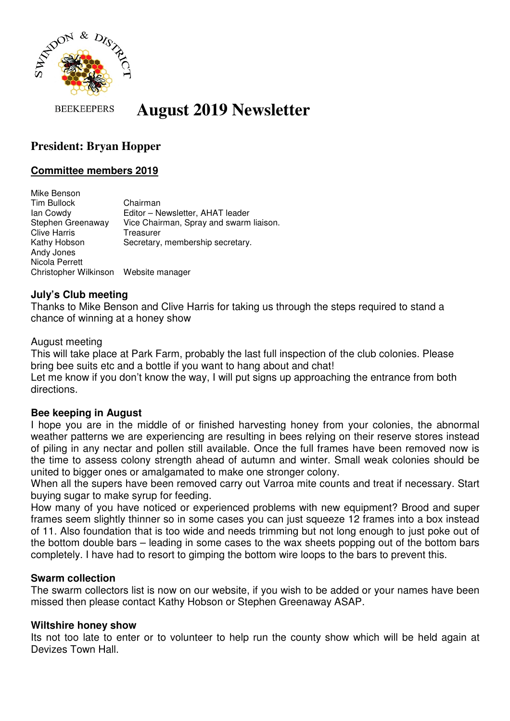

#### **BEEKEEPERS August 2019 Newsletter**

# **President: Bryan Hopper**

# **Committee members 2019**

Mike Benson Tim Bullock Chairman Ian Cowdy Editor – Newsletter, AHAT leader Stephen Greenaway Vice Chairman, Spray and swarm liaison. Clive Harris Treasurer Kathy Hobson Secretary, membership secretary. Andy Jones Nicola Perrett Christopher Wilkinson Website manager

### **July's Club meeting**

Thanks to Mike Benson and Clive Harris for taking us through the steps required to stand a chance of winning at a honey show

#### August meeting

This will take place at Park Farm, probably the last full inspection of the club colonies. Please bring bee suits etc and a bottle if you want to hang about and chat!

Let me know if you don't know the way, I will put signs up approaching the entrance from both directions.

#### **Bee keeping in August**

I hope you are in the middle of or finished harvesting honey from your colonies, the abnormal weather patterns we are experiencing are resulting in bees relying on their reserve stores instead of piling in any nectar and pollen still available. Once the full frames have been removed now is the time to assess colony strength ahead of autumn and winter. Small weak colonies should be united to bigger ones or amalgamated to make one stronger colony.

When all the supers have been removed carry out Varroa mite counts and treat if necessary. Start buying sugar to make syrup for feeding.

How many of you have noticed or experienced problems with new equipment? Brood and super frames seem slightly thinner so in some cases you can just squeeze 12 frames into a box instead of 11. Also foundation that is too wide and needs trimming but not long enough to just poke out of the bottom double bars – leading in some cases to the wax sheets popping out of the bottom bars completely. I have had to resort to gimping the bottom wire loops to the bars to prevent this.

#### **Swarm collection**

The swarm collectors list is now on our website, if you wish to be added or your names have been missed then please contact Kathy Hobson or Stephen Greenaway ASAP.

#### **Wiltshire honey show**

Its not too late to enter or to volunteer to help run the county show which will be held again at Devizes Town Hall.